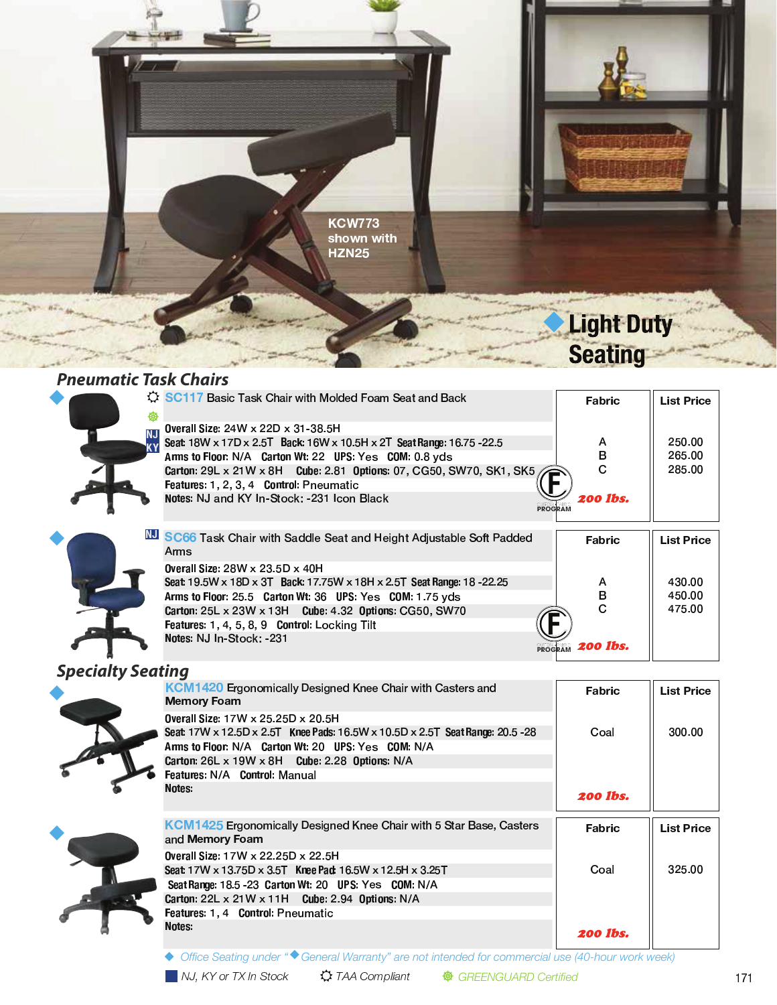

#### **Pneumatic Task Chairs**

| 缀                      | SC117 Basic Task Chair with Molded Foam Seat and Back                                                                                                                                                                                                                                                                                                     | Fabric                         | <b>List Price</b>          |
|------------------------|-----------------------------------------------------------------------------------------------------------------------------------------------------------------------------------------------------------------------------------------------------------------------------------------------------------------------------------------------------------|--------------------------------|----------------------------|
| <b>NJ</b><br><b>KY</b> | Overall Size: 24W x 22D x 31-38.5H<br>Seat: 18W x 17D x 2.5T Back: 16W x 10.5H x 2T Seat Range: 16.75 - 22.5<br>Arms to Floor: N/A Carton Wt: 22 UPS: Yes COM: 0.8 yds<br><b>Carton: 29L x 21W x 8H Cube: 2.81 Options: 07, CG50, SW70, SK1, SK5,</b><br>Features: 1, 2, 3, 4 Control: Pneumatic<br>Notes: NJ and KY In-Stock: -231 Icon Black<br>PROGRAM | A<br>в<br>C<br><b>200 lbs.</b> | 250.00<br>265.00<br>285.00 |
|                        | <b>NU SC66</b> Task Chair with Saddle Seat and Height Adjustable Soft Padded<br>Arms                                                                                                                                                                                                                                                                      | Fabric                         | <b>List Price</b>          |
|                        | Overall Size: $28W \times 23.5D \times 40H$<br>Seat: 19.5W x 18D x 3T Back: 17.75W x 18H x 2.5T Seat Range: 18 - 22.25<br>Arms to Floor: 25.5 Carton Wt: 36 UPS: Yes COM: 1.75 yds<br>Carton: 25L x 23W x 13H Cube: 4.32 Options: CG50, SW70<br>Features: 1, 4, 5, 8, 9 Control: Locking Tilt<br>Notes: NJ In-Stock: -231                                 | A<br>в<br>C                    | 430.00<br>450.00<br>475.00 |
|                        | PROGRAM                                                                                                                                                                                                                                                                                                                                                   | <b>200 lbs.</b>                |                            |

### **Specialty Seating**



| KCM1420 Ergonomically Designed Knee Chair with Casters and<br><b>Memory Foam</b>              | Fabric          | <b>List Price</b> |
|-----------------------------------------------------------------------------------------------|-----------------|-------------------|
| Overall Size: 17W x 25.25D x 20.5H                                                            |                 |                   |
| Seat: 17W x 12.5D x 2.5T Knee Pads: 16.5W x 10.5D x 2.5T Seat Range: 20.5 - 28                | Coal            | 300.00            |
| Arms to Floor: N/A Carton Wt: 20 UPS: Yes COM: N/A                                            |                 |                   |
| Carton: $26L \times 19W \times 8H$ Cube: 2.28 Options: N/A                                    |                 |                   |
| <b>Features: N/A Control: Manual</b>                                                          |                 |                   |
| Notes:                                                                                        | <b>200 lbs.</b> |                   |
| <b>KCM1425</b> Ergonomically Designed Knee Chair with 5 Star Base, Casters<br>and Memory Foam | Fabric          | <b>List Price</b> |
| Overall Size: 17W x 22.25D x 22.5H                                                            |                 |                   |
| Seat: 17W x 13.75D x 3.5T Knee Pad: 16.5W x 12.5H x 3.25T                                     | Coal            | 325.00            |
| Seat Range: 18.5 - 23 Carton Wt: 20 UPS: Yes COM: N/A                                         |                 |                   |
| Carton: $22L \times 21W \times 11H$ Cube: 2.94 Options: N/A                                   |                 |                   |
| <b>Features: 1.4 Control: Pneumatic</b>                                                       |                 |                   |
| Notes:                                                                                        | 200 Ibs.        |                   |

◆ Office Seating under "◆ General Warranty" are not intended for commercial use (40-hour work week)

※ GREENGUARD Certified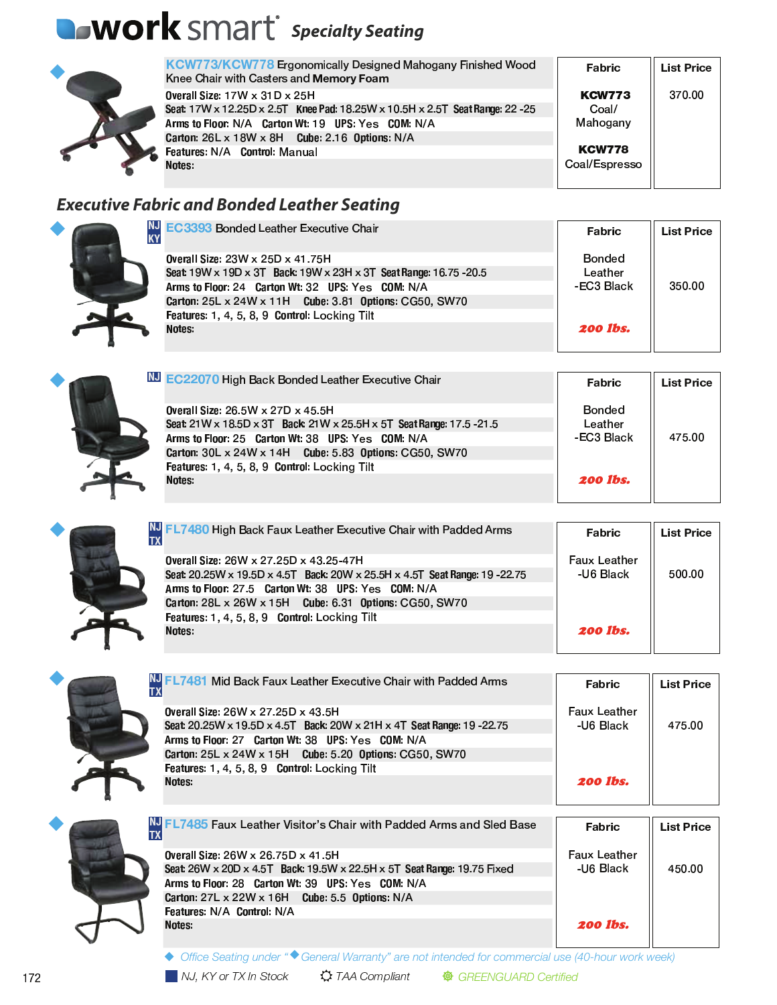## **OWOrk** SMart<sup>®</sup> Specialty Seating



|   | <b>KCW773/KCW778 Ergonomically Designed Mahogany Finished Wood</b><br>Knee Chair with Casters and Memory Foam | Fabric        | <b>List Price</b> |
|---|---------------------------------------------------------------------------------------------------------------|---------------|-------------------|
|   | Overall Size: $17W \times 31D \times 25H$                                                                     | <b>KCW773</b> | 370.00            |
|   | Seat 17W x 12.25D x 2.5T Knee Pad: 18.25W x 10.5H x 2.5T Seat Range: 22 - 25                                  | Coal/         |                   |
|   | Arms to Floor: N/A Carton Wt: 19 UPS: Yes COM: N/A                                                            | Mahogany      |                   |
|   | Carton: 26L x 18W x 8H Cube: 2.16 Options: N/A                                                                |               |                   |
| Ъ | Features: N/A Control: Manual                                                                                 | <b>KCW778</b> |                   |
|   | <b>Notes</b>                                                                                                  | Coal/Espresso |                   |
|   |                                                                                                               |               |                   |

### **Executive Fabric and Bonded Leather Seating**



| NJ EC3393 Bonded Leather Executive Chair<br><b>KY</b>              | <b>Fabric</b>   | <b>List Price</b> |
|--------------------------------------------------------------------|-----------------|-------------------|
| 0 verall Size: 23W x 25D x 41.75H                                  | Bonded          |                   |
| Seat: 19W x 19D x 3T Back: 19W x 23H x 3T Seat Range: 16.75 - 20.5 | Leather         |                   |
| Arms to Floor: 24 Carton Wt: 32 UPS: Yes COM: N/A                  | -EC3 Black      | 350.00            |
| Carton: 25L x 24W x 11H Cube: 3.81 Options: CG50, SW70             |                 |                   |
| Features: 1, 4, 5, 8, 9 Control: Locking Tilt                      |                 |                   |
| <b>Notes</b>                                                       | <b>200 lbs.</b> |                   |



| LU EC22070 High Back Bonded Leather Executive Chair                  | Fabric          | <b>List Price</b> |  |
|----------------------------------------------------------------------|-----------------|-------------------|--|
| <b>Overall Size: 26.5W x 27D x 45.5H</b>                             | <b>Bonded</b>   |                   |  |
| Seat: 21W x 18.5D x 3T Back: 21W x 25.5H x 5T Seat Range: 17.5 -21.5 | Leather         |                   |  |
| Arms to Floor: 25 Carton Wt: 38 UPS: Yes COM: N/A                    | -EC3 Black      | 475.00            |  |
| Carton: 30L x 24W x 14H Cube: 5.83 Options: CG50, SW70               |                 |                   |  |
| Features: 1, 4, 5, 8, 9 Control: Locking Tilt                        |                 |                   |  |
| Notes:                                                               | <b>200 lbs.</b> |                   |  |
|                                                                      |                 |                   |  |

| NJ FL7480 High Back Faux Leather Executive Chair with Padded Arms                                                   | Fabric                           | <b>List Price</b> |
|---------------------------------------------------------------------------------------------------------------------|----------------------------------|-------------------|
| Overall Size: 26W x 27.25D x 43.25-47H<br>Seat 20.25W x 19.5D x 4.5T Back: 20W x 25.5H x 4.5T Seat Range: 19 -22.75 | <b>Faux Leather</b><br>-U6 Black | 500.00            |
| Arms to Floor: 27.5 Carton Wt: 38 UPS: Yes COM: N/A<br>Carton: 28L x 26W x 15H Cube: 6.31 Options: CG50, SW70       |                                  |                   |
| Features: 1, 4, 5, 8, 9 Control: Locking Tilt                                                                       |                                  |                   |
| Notes:                                                                                                              | <b>200 lbs.</b>                  |                   |



| <b>TX</b> | NJ FL7481 Mid Back Faux Leather Executive Chair with Padded Arms        | Fabric              | <b>List Price</b> |
|-----------|-------------------------------------------------------------------------|---------------------|-------------------|
|           | Overall Size: 26W x 27.25D x 43.5H                                      | <b>Faux Leather</b> |                   |
|           | Seat: 20.25W x 19.5D x 4.5T Back: 20W x 21H x 4T Seat Range: 19 - 22.75 | -U6 Black           | 475.00            |
|           | Arms to Floor: 27 Carton Wt: 38 UPS: Yes COM: N/A                       |                     |                   |
|           | Carton: 25L x 24W x 15H Cube: 5.20 Options: CG50, SW70                  |                     |                   |
|           | Features: 1, 4, 5, 8, 9 Control: Locking Tilt                           |                     |                   |
|           | Notes:                                                                  | <b>200 lbs.</b>     |                   |
|           |                                                                         |                     |                   |



| $\blacksquare$ FL7485 Faux Leather Visitor's Chair with Padded Arms and Sled Base | Fabric              | <b>List Price</b> |
|-----------------------------------------------------------------------------------|---------------------|-------------------|
| Overall Size: 26W x 26.75D x 41.5H                                                | <b>Faux Leather</b> |                   |
| Seat: 26W x 20D x 4.5T Back: 19.5W x 22.5H x 5T Seat Range: 19.75 Fixed           | -U6 Black           | 450.00            |
| Arms to Floor: 28 Carton Wt: 39 UPS: Yes COM: N/A                                 |                     |                   |
| Carton: 27L x 22W x 16H Cube: 5.5 Options: N/A                                    |                     |                   |
| Features: N/A Control: N/A                                                        |                     |                   |
| Notes:                                                                            | <b>200 lbs.</b>     |                   |
|                                                                                   |                     |                   |

◆ Office Seating under "◆ General Warranty" are not intended for commercial use (40-hour work week)